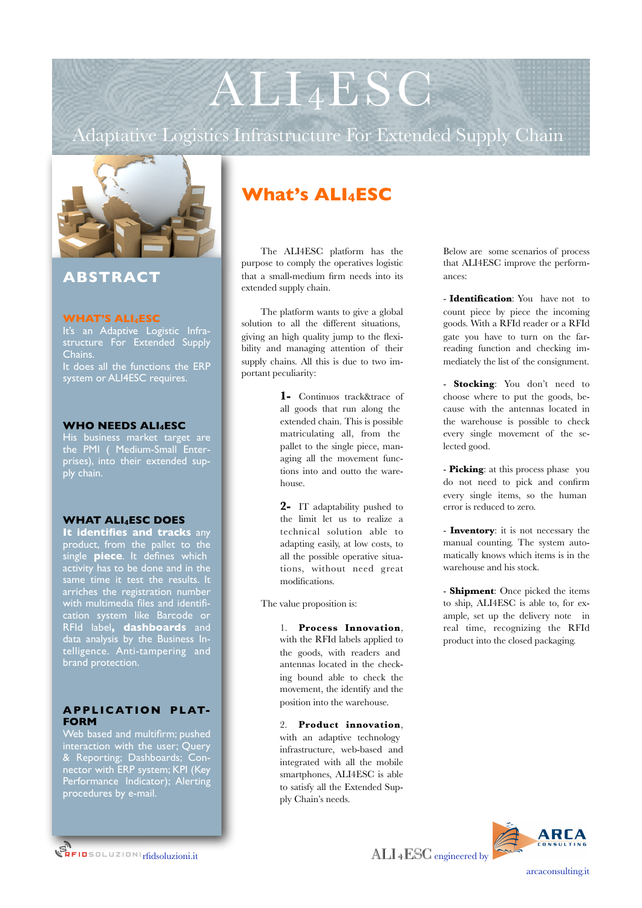Adaptative Logistics Infrastructure For Extended Supply Chain



# **ABSTRACT**

## **WHAT'S ALI4ESC**

It's an Adaptive Logistic Infrastructure For Extended Supply Chains. It does all the functions the ERP system or ALI4ESC requires.

# **WHO NEEDS ALI4ESC**

His business market target are the PMI ( Medium-Small Enterprises), into their extended supply chain.

# **WHAT ALI4ESC DOES**

**It identifies and tracks** any product, from the pallet to the single **piece**. It defines which activity has to be done and in the arriches the registration number with multimedia files and identification system like Barcode or RFId label**, dashboards** and data analysis by the Business Intelligence. Anti-tampering and **brand** protection.

# **APPLICATION PLAT-FORM**

Web based and multifirm; pushed interaction with the user; Query & Reporting; Dashboards; Connector with ERP system; KPI (Key Performance Indicator); Alerting procedures by e-mail.

# **What's ALI4ESC**

The ALI4ESC platform has the purpose to comply the operatives logistic that a small-medium firm needs into its extended supply chain.

The platform wants to give a global solution to all the different situations, giving an high quality jump to the flexibility and managing attention of their supply chains. All this is due to two important peculiarity:

> **1-** Continuos track&trace of all goods that run along the extended chain. This is possible matriculating all, from the pallet to the single piece, managing all the movement functions into and outto the warehouse.

> **2-** IT adaptability pushed to the limit let us to realize a technical solution able to adapting easily, at low costs, to all the possible operative situations, without need great modifications.

The value proposition is:

1. **Process Innovation**, with the RFId labels applied to the goods, with readers and antennas located in the checking bound able to check the movement, the identify and the position into the warehouse.

2. **Product innovation**, with an adaptive technology infrastructure, web-based and integrated with all the mobile smartphones, ALI4ESC is able to satisfy all the Extended Supply Chain's needs.

Below are some scenarios of process that ALI4ESC improve the performances:

- **Identification**: You have not to count piece by piece the incoming goods. With a RFId reader or a RFId gate you have to turn on the farreading function and checking immediately the list of the consignment.

- **Stocking**: You don't need to choose where to put the goods, because with the antennas located in the warehouse is possible to check every single movement of the selected good.

- **Picking**: at this process phase you do not need to pick and confirm every single items, so the human error is reduced to zero.

- **Inventory**: it is not necessary the manual counting. The system automatically knows which items is in the warehouse and his stock.

- **Shipment**: Once picked the items to ship, ALI4ESC is able to, for example, set up the delivery note in real time, recognizing the RFId product into the closed packaging.

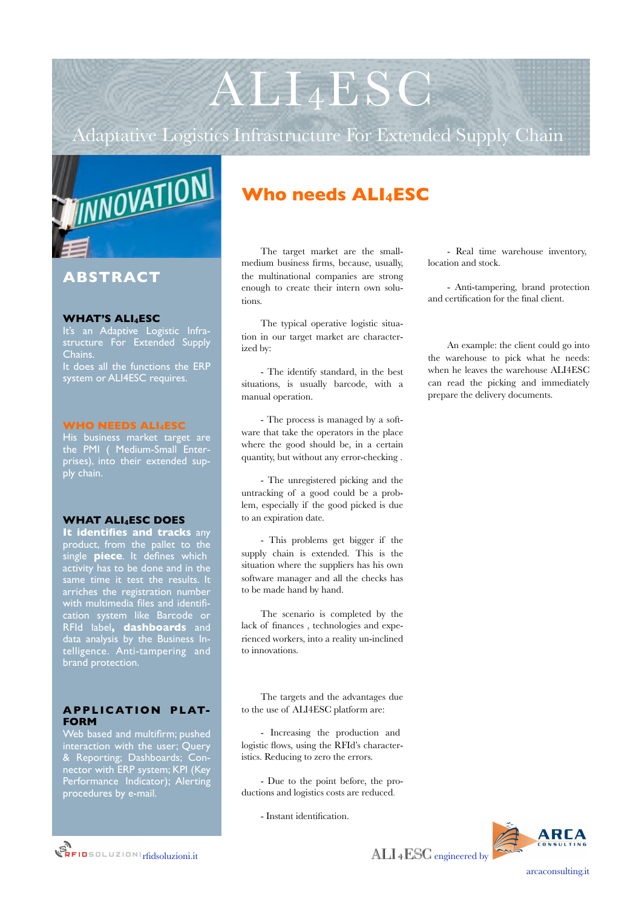Adaptative Logistics Infrastructure For Extended Supply Chain



# **ABSTRACT**

## **WHAT'S ALI4ESC**

It's an Adaptive Logistic Infrastructure For Extended Supply Chains. It does all the functions the ERP system or ALI4ESC requires.

## **WHO NEEDS ALI4ESC**

His business market target are the PMI ( Medium-Small Enterprises), into their extended supply chain.

#### **WHAT ALI4ESC DOES**

**It identifies and tracks** any product, from the pallet to the single **piece**. It defines which activity has to be done and in the arriches the registration number with multimedia files and identification system like Barcode or RFId label**, dashboards** and data analysis by the Business Intelligence. Anti-tampering and **brand** protection.

# **APPLICATION PLAT-FORM**

Web based and multifirm; pushed interaction with the user; Query & Reporting; Dashboards; Connector with ERP system; KPI (Key Performance Indicator); Alerting procedures by e-mail.

# **Who needs ALI4ESC**

The target market are the smallmedium business firms, because, usually, the multinational companies are strong enough to create their intern own solutions.

The typical operative logistic situation in our target market are characterized by:

- The identify standard, in the best situations, is usually barcode, with a manual operation.

- The process is managed by a software that take the operators in the place where the good should be, in a certain quantity, but without any error-checking .

- The unregistered picking and the untracking of a good could be a problem, especially if the good picked is due to an expiration date.

- This problems get bigger if the supply chain is extended. This is the situation where the suppliers has his own software manager and all the checks has to be made hand by hand.

The scenario is completed by the lack of finances , technologies and experienced workers, into a reality un-inclined to innovations.

The targets and the advantages due to the use of ALI4ESC platform are:

- Increasing the production and logistic flows, using the RFId's characteristics. Reducing to zero the errors.

- Due to the point before, the productions and logistics costs are reduced.

- Instant identification.

- Real time warehouse inventory, location and stock.

- Anti-tampering, brand protection and certification for the final client.

An example: the client could go into the warehouse to pick what he needs: when he leaves the warehouse ALI4ESC can read the picking and immediately prepare the delivery documents.

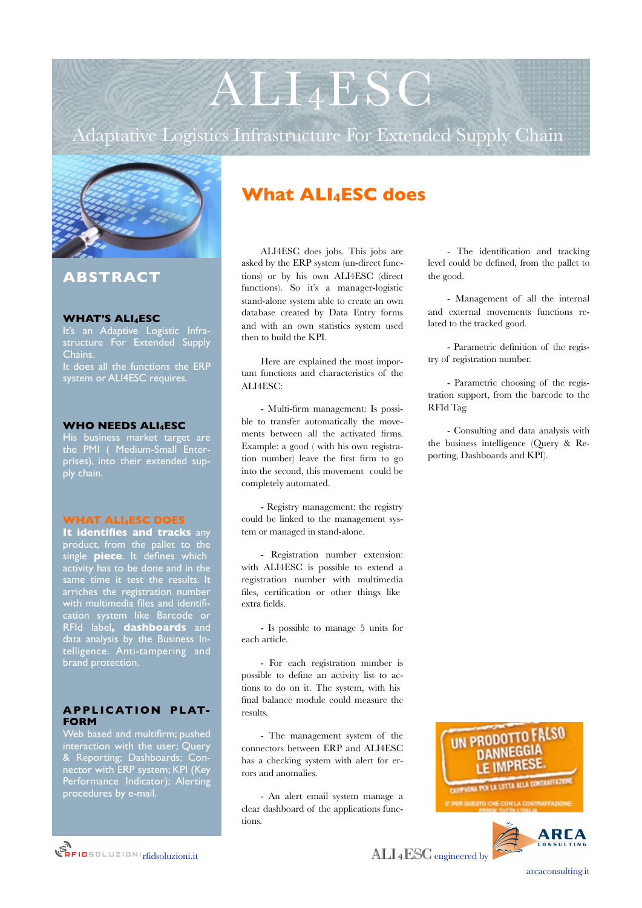Adaptative Logistics Infrastructure For Extended Supply Chain



# **ABSTRACT**

#### **WHAT'S ALI4ESC**

It's an Adaptive Logistic Infrastructure For Extended Supply Chains. It does all the functions the ERP system or ALI4ESC requires.

## **WHO NEEDS ALI4ESC**

His business market target are the PMI ( Medium-Small Enterprises), into their extended supply chain.

#### **WHAT ALI4ESC DOES**

**It identifies and tracks** any product, from the pallet to the single **piece**. It defines which activity has to be done and in the arriches the registration number with multimedia files and identification system like Barcode or RFId label**, dashboards** and data analysis by the Business Intelligence. Anti-tampering and **brand** protection.

# **APPLICATION PLAT-FORM**

Web based and multifirm; pushed interaction with the user; Query & Reporting; Dashboards; Connector with ERP system; KPI (Key Performance Indicator); Alerting procedures by e-mail.

# **What ALI4ESC does**

ALI4ESC does jobs. This jobs are asked by the ERP system (un-direct functions) or by his own ALI4ESC (direct functions). So it's a manager-logistic stand-alone system able to create an own database created by Data Entry forms and with an own statistics system used then to build the KPI.

Here are explained the most important functions and characteristics of the ALI4ESC:

- Multi-firm management: Is possible to transfer automatically the movements between all the activated firms. Example: a good ( with his own registration number) leave the first firm to go into the second, this movement could be completely automated.

- Registry management: the registry could be linked to the management system or managed in stand-alone.

- Registration number extension: with ALI4ESC is possible to extend a registration number with multimedia files, certification or other things like extra fields.

- Is possible to manage 5 units for each article.

- For each registration number is possible to define an activity list to actions to do on it. The system, with his final balance module could measure the results.

- The management system of the connectors between ERP and ALI4ESC has a checking system with alert for errors and anomalies.

- An alert email system manage a clear dashboard of the applications functions.

- The identification and tracking level could be defined, from the pallet to the good.

- Management of all the internal and external movements functions related to the tracked good.

- Parametric definition of the registry of registration number.

- Parametric choosing of the registration support, from the barcode to the RFId Tag.

- Consulting and data analysis with the business intelligence (Query & Reporting, Dashboards and KPI).



**REIDSOLUZIONI Tridsoluzioni.it**  $\text{ALL 4ESC}$  engineered by

[arcaconsulting.it](http://www.rfidsoluzioni.it)